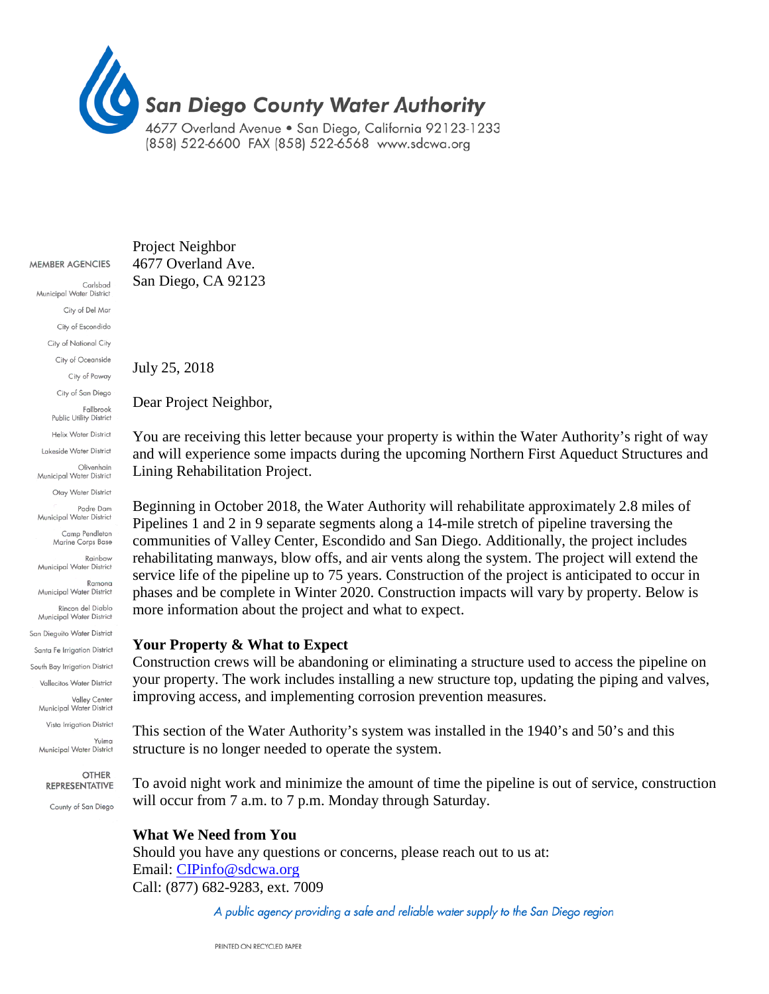

#### MEMBER AGENCIES

Carlsbad Municipal Water District City of Del Mar City of Escondido City of National City City of Oceanside City of Poway City of San Diego Fallbrook Public Utility District **Helix Water District** Lakeside Water District Olivenhain Municipal Water District Otay Water District Padre Dam Municipal Water District Camp Pendleton Marine Corps Base Rainbow Municipal Water District Ramona Municipal Water District Rincon del Diablo Municipal Water District San Dieguito Water District Santa Fe Irrigation District South Bay Irrigation District Vallecitos Water District Valley Center Municipal Water District Vista Irrigation District Yuima Municipal Water District

> **OTHER** REPRESENTATIVE

County of San Diego

Project Neighbor 4677 Overland Ave. San Diego, CA 92123

July 25, 2018

Dear Project Neighbor,

You are receiving this letter because your property is within the Water Authority's right of way and will experience some impacts during the upcoming Northern First Aqueduct Structures and Lining Rehabilitation Project.

Beginning in October 2018, the Water Authority will rehabilitate approximately 2.8 miles of Pipelines 1 and 2 in 9 separate segments along a 14-mile stretch of pipeline traversing the communities of Valley Center, Escondido and San Diego. Additionally, the project includes rehabilitating manways, blow offs, and air vents along the system. The project will extend the service life of the pipeline up to 75 years. Construction of the project is anticipated to occur in phases and be complete in Winter 2020. Construction impacts will vary by property. Below is more information about the project and what to expect.

#### **Your Property & What to Expect**

Construction crews will be abandoning or eliminating a structure used to access the pipeline on your property. The work includes installing a new structure top, updating the piping and valves, improving access, and implementing corrosion prevention measures.

This section of the Water Authority's system was installed in the 1940's and 50's and this structure is no longer needed to operate the system.

To avoid night work and minimize the amount of time the pipeline is out of service, construction will occur from 7 a.m. to 7 p.m. Monday through Saturday.

### **What We Need from You**

Should you have any questions or concerns, please reach out to us at: Email: [CIPinfo@sdcwa.org](mailto:CIPinfo@sdcwa.org) Call: (877) 682-9283, ext. 7009

A public agency providing a safe and reliable water supply to the San Diego region